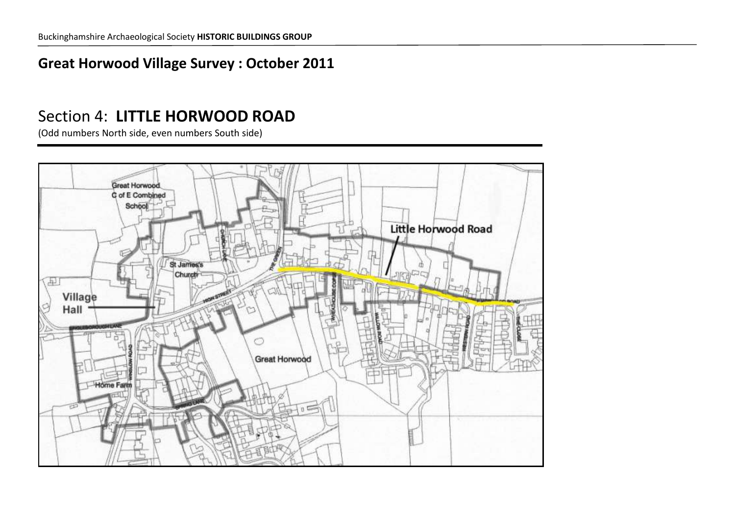## **Great Horwood Village Survey : October 2011**

# Section 4: **LITTLE HORWOOD ROAD**

(Odd numbers North side, even numbers South side)

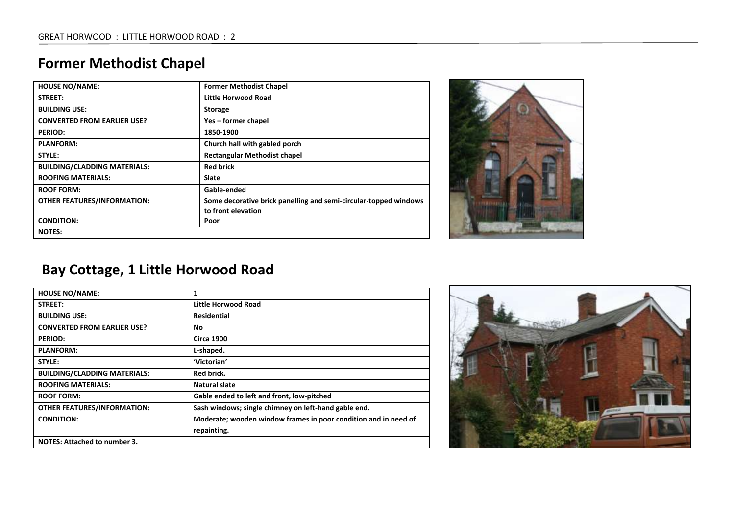## **Former Methodist Chapel**

| <b>HOUSE NO/NAME:</b>               | <b>Former Methodist Chapel</b>                                   |
|-------------------------------------|------------------------------------------------------------------|
| STREET:                             | Little Horwood Road                                              |
| <b>BUILDING USE:</b>                | <b>Storage</b>                                                   |
| <b>CONVERTED FROM EARLIER USE?</b>  | Yes – former chapel                                              |
| <b>PERIOD:</b>                      | 1850-1900                                                        |
| <b>PLANFORM:</b>                    | Church hall with gabled porch                                    |
| STYLE:                              | <b>Rectangular Methodist chapel</b>                              |
| <b>BUILDING/CLADDING MATERIALS:</b> | <b>Red brick</b>                                                 |
| <b>ROOFING MATERIALS:</b>           | <b>Slate</b>                                                     |
| <b>ROOF FORM:</b>                   | Gable-ended                                                      |
| <b>OTHER FEATURES/INFORMATION:</b>  | Some decorative brick panelling and semi-circular-topped windows |
|                                     | to front elevation                                               |
| <b>CONDITION:</b>                   | Poor                                                             |
| <b>NOTES:</b>                       |                                                                  |



# **Bay Cottage, 1 Little Horwood Road**

| <b>HOUSE NO/NAME:</b>               | 1                                                               |
|-------------------------------------|-----------------------------------------------------------------|
| STREET:                             | Little Horwood Road                                             |
| <b>BUILDING USE:</b>                | <b>Residential</b>                                              |
| <b>CONVERTED FROM EARLIER USE?</b>  | No                                                              |
| <b>PERIOD:</b>                      | <b>Circa 1900</b>                                               |
| <b>PLANFORM:</b>                    | L-shaped.                                                       |
| STYLE:                              | 'Victorian'                                                     |
| <b>BUILDING/CLADDING MATERIALS:</b> | <b>Red brick.</b>                                               |
| <b>ROOFING MATERIALS:</b>           | Natural slate                                                   |
| <b>ROOF FORM:</b>                   | Gable ended to left and front, low-pitched                      |
| <b>OTHER FEATURES/INFORMATION:</b>  | Sash windows; single chimney on left-hand gable end.            |
| <b>CONDITION:</b>                   | Moderate; wooden window frames in poor condition and in need of |
|                                     | repainting.                                                     |
| <b>NOTES: Attached to number 3.</b> |                                                                 |

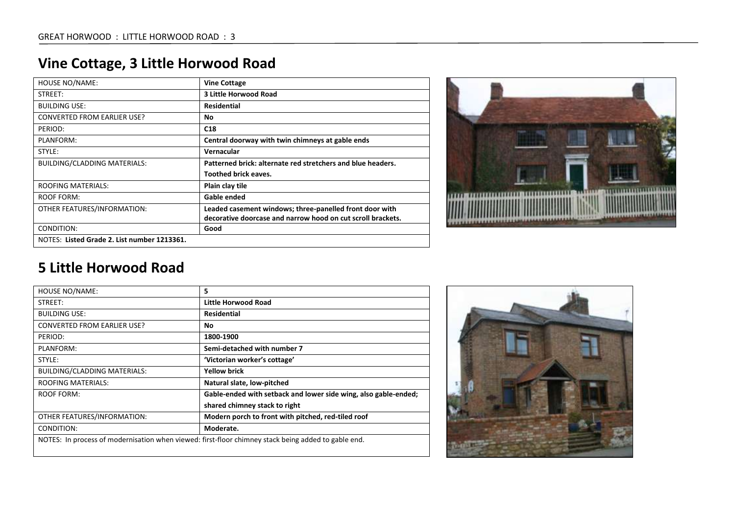| <b>HOUSE NO/NAME:</b>                       | <b>Vine Cottage</b>                                         |
|---------------------------------------------|-------------------------------------------------------------|
| STREET:                                     | 3 Little Horwood Road                                       |
| <b>BUILDING USE:</b>                        | <b>Residential</b>                                          |
| <b>CONVERTED FROM EARLIER USE?</b>          | No.                                                         |
| PERIOD:                                     | C <sub>18</sub>                                             |
| PLANFORM:                                   | Central doorway with twin chimneys at gable ends            |
| STYLE:                                      | Vernacular                                                  |
| <b>BUILDING/CLADDING MATERIALS:</b>         | Patterned brick: alternate red stretchers and blue headers. |
|                                             | <b>Toothed brick eaves.</b>                                 |
| <b>ROOFING MATERIALS:</b>                   | Plain clay tile                                             |
| ROOF FORM:                                  | Gable ended                                                 |
| OTHER FEATURES/INFORMATION:                 | Leaded casement windows; three-panelled front door with     |
|                                             | decorative doorcase and narrow hood on cut scroll brackets. |
| CONDITION:                                  | Good                                                        |
| NOTES: Listed Grade 2. List number 1213361. |                                                             |



| <b>HOUSE NO/NAME:</b>               | 5                                                                                                   |
|-------------------------------------|-----------------------------------------------------------------------------------------------------|
| STREET:                             | Little Horwood Road                                                                                 |
| <b>BUILDING USE:</b>                | <b>Residential</b>                                                                                  |
| <b>CONVERTED FROM EARLIER USE?</b>  | Νo                                                                                                  |
| PERIOD:                             | 1800-1900                                                                                           |
| PLANFORM:                           | Semi-detached with number 7                                                                         |
| STYLE:                              | 'Victorian worker's cottage'                                                                        |
| <b>BUILDING/CLADDING MATERIALS:</b> | <b>Yellow brick</b>                                                                                 |
| <b>ROOFING MATERIALS:</b>           | Natural slate, low-pitched                                                                          |
| <b>ROOF FORM:</b>                   | Gable-ended with setback and lower side wing, also gable-ended;                                     |
|                                     | shared chimney stack to right                                                                       |
| OTHER FEATURES/INFORMATION:         | Modern porch to front with pitched, red-tiled roof                                                  |
| CONDITION:                          | Moderate.                                                                                           |
|                                     | NOTES: In process of modernisation when viewed: first-floor chimney stack being added to gable end. |

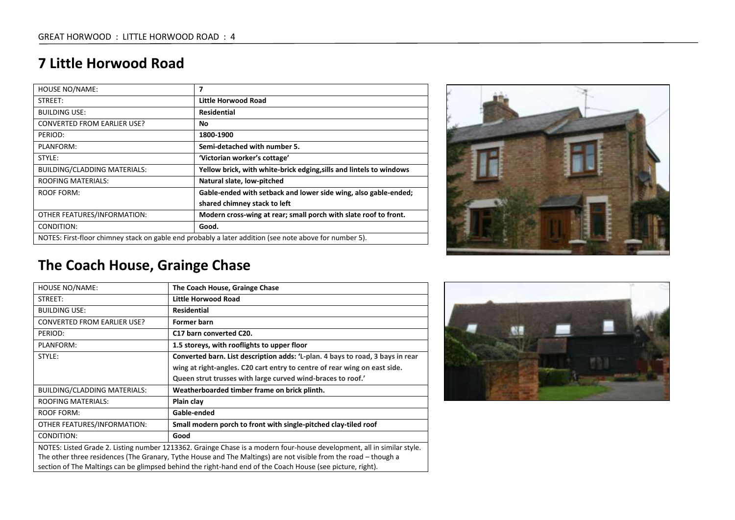| <b>HOUSE NO/NAME:</b>                                                                                  | 7                                                                   |
|--------------------------------------------------------------------------------------------------------|---------------------------------------------------------------------|
| STREET:                                                                                                | Little Horwood Road                                                 |
| <b>BUILDING USE:</b>                                                                                   | <b>Residential</b>                                                  |
| <b>CONVERTED FROM EARLIER USE?</b>                                                                     | No                                                                  |
| PERIOD:                                                                                                | 1800-1900                                                           |
| PLANFORM:                                                                                              | Semi-detached with number 5.                                        |
| STYLE:                                                                                                 | 'Victorian worker's cottage'                                        |
| <b>BUILDING/CLADDING MATERIALS:</b>                                                                    | Yellow brick, with white-brick edging, sills and lintels to windows |
| <b>ROOFING MATERIALS:</b>                                                                              | Natural slate, low-pitched                                          |
| ROOF FORM:                                                                                             | Gable-ended with setback and lower side wing, also gable-ended;     |
|                                                                                                        | shared chimney stack to left                                        |
| OTHER FEATURES/INFORMATION:                                                                            | Modern cross-wing at rear; small porch with slate roof to front.    |
| CONDITION:                                                                                             | Good.                                                               |
| NOTES: First-floor chimney stack on gable end probably a later addition (see note above for number 5). |                                                                     |



# **The Coach House, Grainge Chase**

| <b>HOUSE NO/NAME:</b>                                                                                                  | The Coach House, Grainge Chase                                                 |
|------------------------------------------------------------------------------------------------------------------------|--------------------------------------------------------------------------------|
| STREET:                                                                                                                | Little Horwood Road                                                            |
| <b>BUILDING USE:</b>                                                                                                   | <b>Residential</b>                                                             |
| <b>CONVERTED FROM EARLIER USE?</b>                                                                                     | Former barn                                                                    |
| PERIOD:                                                                                                                | C17 barn converted C20.                                                        |
| PLANFORM:                                                                                                              | 1.5 storeys, with rooflights to upper floor                                    |
| STYLE:                                                                                                                 | Converted barn. List description adds: 'L-plan. 4 bays to road, 3 bays in rear |
|                                                                                                                        | wing at right-angles. C20 cart entry to centre of rear wing on east side.      |
|                                                                                                                        | Queen strut trusses with large curved wind-braces to roof.'                    |
| <b>BUILDING/CLADDING MATERIALS:</b>                                                                                    | Weatherboarded timber frame on brick plinth.                                   |
| <b>ROOFING MATERIALS:</b>                                                                                              | Plain clay                                                                     |
| ROOF FORM:                                                                                                             | Gable-ended                                                                    |
| OTHER FEATURES/INFORMATION:                                                                                            | Small modern porch to front with single-pitched clay-tiled roof                |
| CONDITION:                                                                                                             | Good                                                                           |
| NOTES: Listed Grade 2. Listing number 1213362. Grainge Chase is a modern four-house development, all in similar style. |                                                                                |
| The other three residences (The Granary, Tythe House and The Maltings) are not visible from the road – though a        |                                                                                |
| section of The Maltings can be glimpsed behind the right-hand end of the Coach House (see picture, right).             |                                                                                |

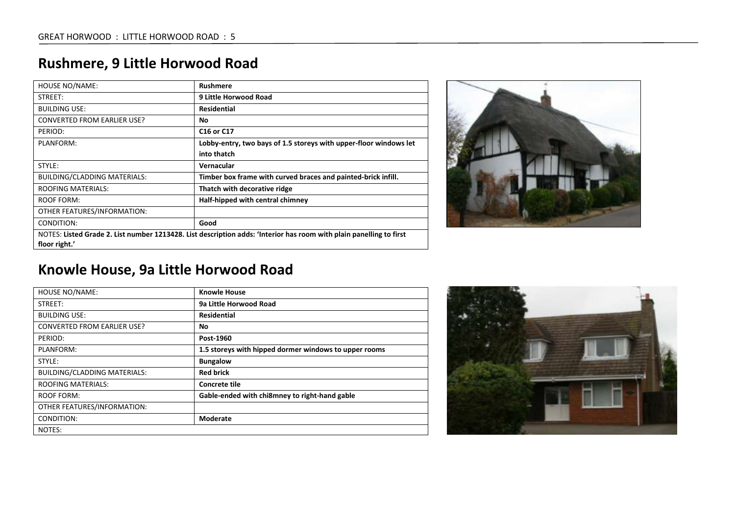| <b>HOUSE NO/NAME:</b>                                                                                               | <b>Rushmere</b>                                                   |
|---------------------------------------------------------------------------------------------------------------------|-------------------------------------------------------------------|
| STREET:                                                                                                             | 9 Little Horwood Road                                             |
| <b>BUILDING USE:</b>                                                                                                | <b>Residential</b>                                                |
| <b>CONVERTED FROM EARLIER USE?</b>                                                                                  | No                                                                |
| PERIOD:                                                                                                             | C <sub>16</sub> or C <sub>17</sub>                                |
| PLANFORM:                                                                                                           | Lobby-entry, two bays of 1.5 storeys with upper-floor windows let |
|                                                                                                                     | into thatch                                                       |
| STYLE:                                                                                                              | Vernacular                                                        |
| BUILDING/CLADDING MATERIALS:                                                                                        | Timber box frame with curved braces and painted-brick infill.     |
| <b>ROOFING MATERIALS:</b>                                                                                           | Thatch with decorative ridge                                      |
| <b>ROOF FORM:</b>                                                                                                   | Half-hipped with central chimney                                  |
| OTHER FEATURES/INFORMATION:                                                                                         |                                                                   |
| CONDITION:                                                                                                          | Good                                                              |
| NOTES: Listed Grade 2. List number 1213428. List description adds: 'Interior has room with plain panelling to first |                                                                   |
| floor right.'                                                                                                       |                                                                   |

## **Rushmere, 9 Little Horwood Road**



## **Knowle House, 9a Little Horwood Road**

| <b>HOUSE NO/NAME:</b>               | <b>Knowle House</b>                                   |
|-------------------------------------|-------------------------------------------------------|
| STREET:                             | 9a Little Horwood Road                                |
| <b>BUILDING USE:</b>                | Residential                                           |
| <b>CONVERTED FROM EARLIER USE?</b>  | No                                                    |
| PERIOD:                             | Post-1960                                             |
| PLANFORM:                           | 1.5 storeys with hipped dormer windows to upper rooms |
| STYLE:                              | <b>Bungalow</b>                                       |
| <b>BUILDING/CLADDING MATERIALS:</b> | <b>Red brick</b>                                      |
| <b>ROOFING MATERIALS:</b>           | Concrete tile                                         |
| ROOF FORM:                          | Gable-ended with chi8mney to right-hand gable         |
| OTHER FEATURES/INFORMATION:         |                                                       |
| CONDITION:                          | Moderate                                              |
| NOTES:                              |                                                       |

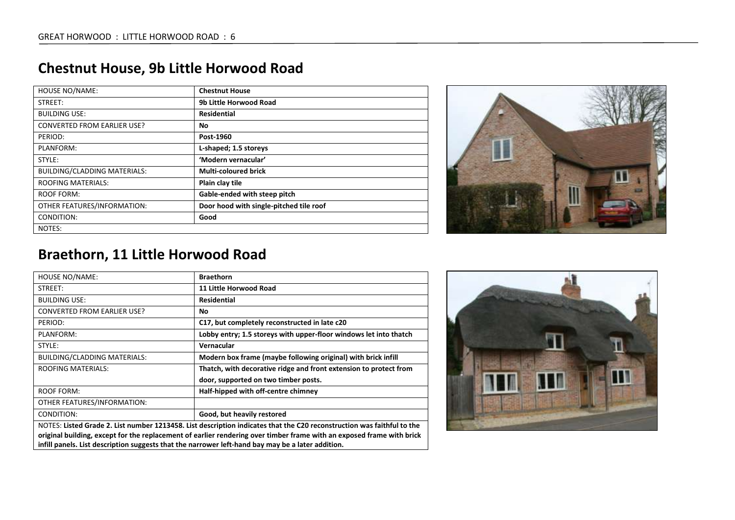| <b>HOUSE NO/NAME:</b>               | <b>Chestnut House</b>                   |
|-------------------------------------|-----------------------------------------|
| STREET:                             | 9b Little Horwood Road                  |
| <b>BUILDING USE:</b>                | <b>Residential</b>                      |
| <b>CONVERTED FROM EARLIER USE?</b>  | No                                      |
| PERIOD:                             | Post-1960                               |
| PLANFORM:                           | L-shaped; 1.5 storeys                   |
| STYLE:                              | 'Modern vernacular'                     |
| <b>BUILDING/CLADDING MATERIALS:</b> | <b>Multi-coloured brick</b>             |
| <b>ROOFING MATERIALS:</b>           | Plain clay tile                         |
| <b>ROOF FORM:</b>                   | Gable-ended with steep pitch            |
| OTHER FEATURES/INFORMATION:         | Door hood with single-pitched tile roof |
| CONDITION:                          | Good                                    |
| NOTES:                              |                                         |

## **Chestnut House, 9b Little Horwood Road**



#### **Braethorn, 11 Little Horwood Road**

| <b>HOUSE NO/NAME:</b>                                                                                                  | <b>Braethorn</b>                                                  |
|------------------------------------------------------------------------------------------------------------------------|-------------------------------------------------------------------|
| STREET:                                                                                                                | 11 Little Horwood Road                                            |
| <b>BUILDING USE:</b>                                                                                                   | Residential                                                       |
| <b>CONVERTED FROM EARLIER USE?</b>                                                                                     | No                                                                |
| PERIOD:                                                                                                                | C17, but completely reconstructed in late c20                     |
| PLANFORM:                                                                                                              | Lobby entry; 1.5 storeys with upper-floor windows let into thatch |
| STYLE:                                                                                                                 | Vernacular                                                        |
| <b>BUILDING/CLADDING MATERIALS:</b>                                                                                    | Modern box frame (maybe following original) with brick infill     |
| <b>ROOFING MATERIALS:</b>                                                                                              | Thatch, with decorative ridge and front extension to protect from |
|                                                                                                                        | door, supported on two timber posts.                              |
| ROOF FORM:                                                                                                             | Half-hipped with off-centre chimney                               |
| OTHER FEATURES/INFORMATION:                                                                                            |                                                                   |
| CONDITION:                                                                                                             | Good, but heavily restored                                        |
| NOTES: Listed Grade 2. List number 1213458. List description indicates that the C20 reconstruction was faithful to the |                                                                   |

**original building, except for the replacement of earlier rendering over timber frame with an exposed frame with brick infill panels. List description suggests that the narrower left-hand bay may be a later addition.**

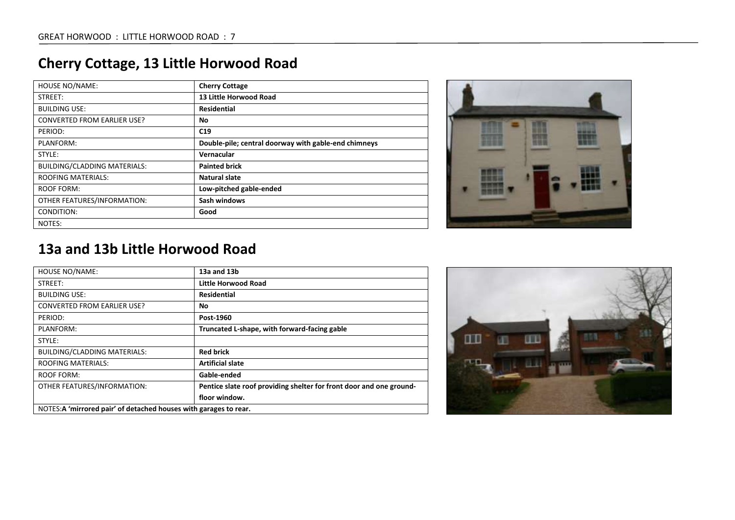| <b>HOUSE NO/NAME:</b>               | <b>Cherry Cottage</b>                                |
|-------------------------------------|------------------------------------------------------|
| STREET:                             | 13 Little Horwood Road                               |
| <b>BUILDING USE:</b>                | <b>Residential</b>                                   |
| <b>CONVERTED FROM EARLIER USE?</b>  | No                                                   |
| PERIOD:                             | C19                                                  |
| PLANFORM:                           | Double-pile; central doorway with gable-end chimneys |
| STYLE:                              | Vernacular                                           |
| <b>BUILDING/CLADDING MATERIALS:</b> | <b>Painted brick</b>                                 |
| <b>ROOFING MATERIALS:</b>           | Natural slate                                        |
| <b>ROOF FORM:</b>                   | Low-pitched gable-ended                              |
| OTHER FEATURES/INFORMATION:         | Sash windows                                         |
| CONDITION:                          | Good                                                 |
| NOTES:                              |                                                      |



#### **13a and 13b Little Horwood Road**

| <b>HOUSE NO/NAME:</b>                                             | 13a and 13b                                                         |
|-------------------------------------------------------------------|---------------------------------------------------------------------|
| STREET:                                                           | Little Horwood Road                                                 |
| <b>BUILDING USE:</b>                                              | <b>Residential</b>                                                  |
| <b>CONVERTED FROM EARLIER USE?</b>                                | No                                                                  |
| PERIOD:                                                           | Post-1960                                                           |
| PLANFORM:                                                         | Truncated L-shape, with forward-facing gable                        |
| STYLE:                                                            |                                                                     |
| <b>BUILDING/CLADDING MATERIALS:</b>                               | <b>Red brick</b>                                                    |
| <b>ROOFING MATERIALS:</b>                                         | <b>Artificial slate</b>                                             |
| ROOF FORM:                                                        | Gable-ended                                                         |
| OTHER FEATURES/INFORMATION:                                       | Pentice slate roof providing shelter for front door and one ground- |
|                                                                   | floor window.                                                       |
| NOTES: A 'mirrored pair' of detached houses with garages to rear. |                                                                     |



# **Cherry Cottage, 13 Little Horwood Road**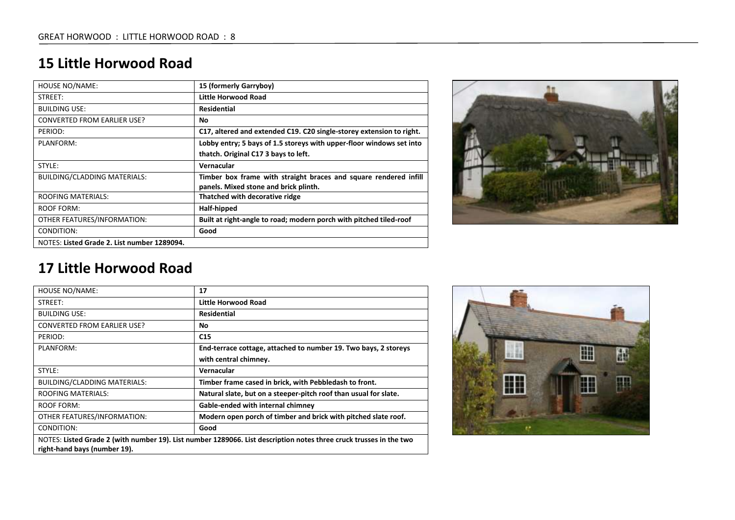| <b>HOUSE NO/NAME:</b>                       | 15 (formerly Garryboy)                                               |
|---------------------------------------------|----------------------------------------------------------------------|
| STREET:                                     | Little Horwood Road                                                  |
| <b>BUILDING USE:</b>                        | <b>Residential</b>                                                   |
| <b>CONVERTED FROM EARLIER USE?</b>          | No                                                                   |
| PERIOD:                                     | C17, altered and extended C19. C20 single-storey extension to right. |
| PLANFORM:                                   | Lobby entry; 5 bays of 1.5 storeys with upper-floor windows set into |
|                                             | thatch. Original C17 3 bays to left.                                 |
| STYLE:                                      | Vernacular                                                           |
| <b>BUILDING/CLADDING MATERIALS:</b>         | Timber box frame with straight braces and square rendered infill     |
|                                             | panels. Mixed stone and brick plinth.                                |
| <b>ROOFING MATERIALS:</b>                   | Thatched with decorative ridge                                       |
| ROOF FORM:                                  | Half-hipped                                                          |
| OTHER FEATURES/INFORMATION:                 | Built at right-angle to road; modern porch with pitched tiled-roof   |
| CONDITION:                                  | Good                                                                 |
| NOTES: Listed Grade 2. List number 1289094. |                                                                      |



| <b>HOUSE NO/NAME:</b>                                                                                                                              | 17                                                               |
|----------------------------------------------------------------------------------------------------------------------------------------------------|------------------------------------------------------------------|
| STREET:                                                                                                                                            | Little Horwood Road                                              |
| <b>BUILDING USE:</b>                                                                                                                               | <b>Residential</b>                                               |
| <b>CONVERTED FROM EARLIER USE?</b>                                                                                                                 | No.                                                              |
| PERIOD:                                                                                                                                            | C15                                                              |
| PLANFORM:                                                                                                                                          | End-terrace cottage, attached to number 19. Two bays, 2 storeys  |
|                                                                                                                                                    | with central chimney.                                            |
| STYLE:                                                                                                                                             | Vernacular                                                       |
| <b>BUILDING/CLADDING MATERIALS:</b>                                                                                                                | Timber frame cased in brick, with Pebbledash to front.           |
| <b>ROOFING MATERIALS:</b>                                                                                                                          | Natural slate, but on a steeper-pitch roof than usual for slate. |
| ROOF FORM:                                                                                                                                         | Gable-ended with internal chimney                                |
| OTHER FEATURES/INFORMATION:                                                                                                                        | Modern open porch of timber and brick with pitched slate roof.   |
| CONDITION:                                                                                                                                         | Good                                                             |
| NOTES: Listed Grade 2 (with number 19). List number 1289066. List description notes three cruck trusses in the two<br>right-hand bays (number 19). |                                                                  |
|                                                                                                                                                    |                                                                  |

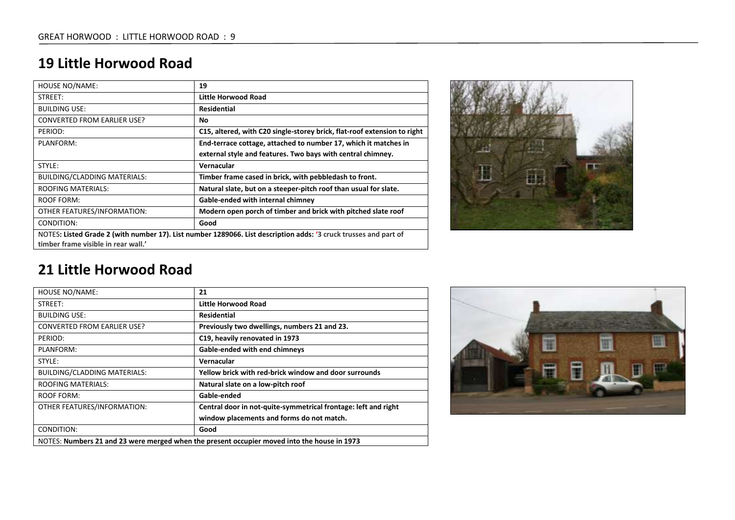| HOUSE NO/NAME:                                                                                                                                          | 19                                                                       |
|---------------------------------------------------------------------------------------------------------------------------------------------------------|--------------------------------------------------------------------------|
| STREET:                                                                                                                                                 | Little Horwood Road                                                      |
| <b>BUILDING USE:</b>                                                                                                                                    | <b>Residential</b>                                                       |
| <b>CONVERTED FROM EARLIER USE?</b>                                                                                                                      | No.                                                                      |
| PERIOD:                                                                                                                                                 | C15, altered, with C20 single-storey brick, flat-roof extension to right |
| PLANFORM:                                                                                                                                               | End-terrace cottage, attached to number 17, which it matches in          |
|                                                                                                                                                         | external style and features. Two bays with central chimney.              |
| STYLE:                                                                                                                                                  | Vernacular                                                               |
| <b>BUILDING/CLADDING MATERIALS:</b>                                                                                                                     | Timber frame cased in brick, with pebbledash to front.                   |
| <b>ROOFING MATERIALS:</b>                                                                                                                               | Natural slate, but on a steeper-pitch roof than usual for slate.         |
| <b>ROOF FORM:</b>                                                                                                                                       | Gable-ended with internal chimney                                        |
| OTHER FEATURES/INFORMATION:                                                                                                                             | Modern open porch of timber and brick with pitched slate roof            |
| CONDITION:                                                                                                                                              | Good                                                                     |
| NOTES: Listed Grade 2 (with number 17). List number 1289066. List description adds: '3 cruck trusses and part of<br>timber frame visible in rear wall.' |                                                                          |



| HOUSE NO/NAME:                                                                              | 21                                                             |
|---------------------------------------------------------------------------------------------|----------------------------------------------------------------|
| STREET:                                                                                     | Little Horwood Road                                            |
| <b>BUILDING USE:</b>                                                                        | Residential                                                    |
| <b>CONVERTED FROM EARLIER USE?</b>                                                          | Previously two dwellings, numbers 21 and 23.                   |
| PERIOD:                                                                                     | C19, heavily renovated in 1973                                 |
| PLANFORM:                                                                                   | <b>Gable-ended with end chimneys</b>                           |
| STYLE:                                                                                      | Vernacular                                                     |
| <b>BUILDING/CLADDING MATERIALS:</b>                                                         | Yellow brick with red-brick window and door surrounds          |
| <b>ROOFING MATERIALS:</b>                                                                   | Natural slate on a low-pitch roof                              |
| <b>ROOF FORM:</b>                                                                           | Gable-ended                                                    |
| OTHER FEATURES/INFORMATION:                                                                 | Central door in not-quite-symmetrical frontage: left and right |
|                                                                                             | window placements and forms do not match.                      |
| CONDITION:                                                                                  | Good                                                           |
| NOTES: Numbers 21 and 23 were merged when the present occupier moved into the house in 1973 |                                                                |

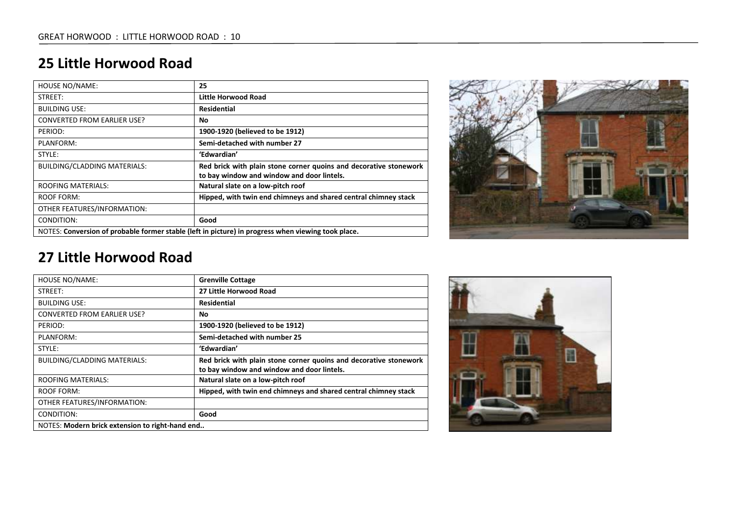| <b>HOUSE NO/NAME:</b>                                                                              | 25                                                                |
|----------------------------------------------------------------------------------------------------|-------------------------------------------------------------------|
| STREET:                                                                                            | Little Horwood Road                                               |
| <b>BUILDING USE:</b>                                                                               | <b>Residential</b>                                                |
| <b>CONVERTED FROM EARLIER USE?</b>                                                                 | No                                                                |
| PERIOD:                                                                                            | 1900-1920 (believed to be 1912)                                   |
| PLANFORM:                                                                                          | Semi-detached with number 27                                      |
| STYLE:                                                                                             | 'Edwardian'                                                       |
| <b>BUILDING/CLADDING MATERIALS:</b>                                                                | Red brick with plain stone corner quoins and decorative stonework |
|                                                                                                    | to bay window and window and door lintels.                        |
| <b>ROOFING MATERIALS:</b>                                                                          | Natural slate on a low-pitch roof                                 |
| ROOF FORM:                                                                                         | Hipped, with twin end chimneys and shared central chimney stack   |
| OTHER FEATURES/INFORMATION:                                                                        |                                                                   |
| CONDITION:                                                                                         | Good                                                              |
| NOTES: Conversion of probable former stable (left in picture) in progress when viewing took place. |                                                                   |



| <b>HOUSE NO/NAME:</b>                           | <b>Grenville Cottage</b>                                                                                        |
|-------------------------------------------------|-----------------------------------------------------------------------------------------------------------------|
| STREET:                                         | 27 Little Horwood Road                                                                                          |
| <b>BUILDING USE:</b>                            | Residential                                                                                                     |
| CONVERTED FROM EARLIER USE?                     | No                                                                                                              |
| PERIOD:                                         | 1900-1920 (believed to be 1912)                                                                                 |
| PLANFORM:                                       | Semi-detached with number 25                                                                                    |
| STYLE:                                          | 'Edwardian'                                                                                                     |
| <b>BUILDING/CLADDING MATERIALS:</b>             | Red brick with plain stone corner quoins and decorative stonework<br>to bay window and window and door lintels. |
| <b>ROOFING MATERIALS:</b>                       | Natural slate on a low-pitch roof                                                                               |
| ROOF FORM:                                      | Hipped, with twin end chimneys and shared central chimney stack                                                 |
| OTHER FEATURES/INFORMATION:                     |                                                                                                                 |
| CONDITION:                                      | Good                                                                                                            |
| NOTES: Modern brick extension to right-hand end |                                                                                                                 |

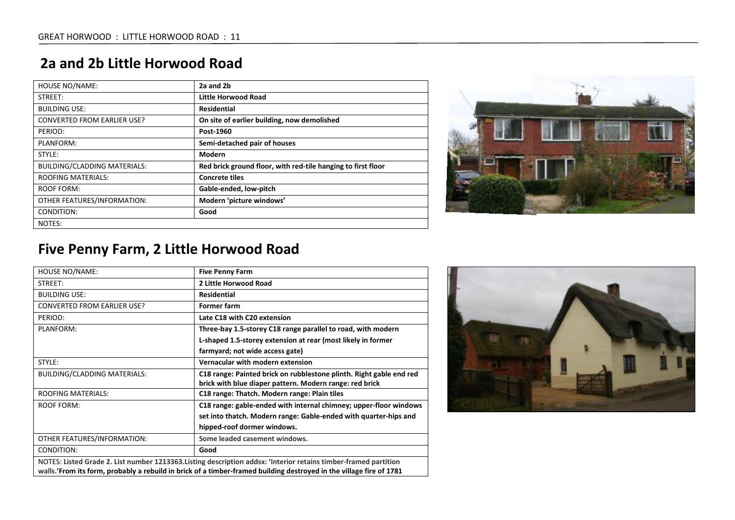### **2a and 2b Little Horwood Road**

| <b>HOUSE NO/NAME:</b>               | 2a and 2b                                                    |
|-------------------------------------|--------------------------------------------------------------|
| STREET:                             | Little Horwood Road                                          |
| <b>BUILDING USE:</b>                | Residential                                                  |
| <b>CONVERTED FROM EARLIER USE?</b>  | On site of earlier building, now demolished                  |
| PERIOD:                             | Post-1960                                                    |
| PLANFORM:                           | Semi-detached pair of houses                                 |
| STYLE:                              | Modern                                                       |
| <b>BUILDING/CLADDING MATERIALS:</b> | Red brick ground floor, with red-tile hanging to first floor |
| <b>ROOFING MATERIALS:</b>           | <b>Concrete tiles</b>                                        |
| <b>ROOF FORM:</b>                   | Gable-ended, low-pitch                                       |
| OTHER FEATURES/INFORMATION:         | Modern 'picture windows'                                     |
| CONDITION:                          | Good                                                         |
| NOTES:                              |                                                              |



## **Five Penny Farm, 2 Little Horwood Road**

| <b>HOUSE NO/NAME:</b>                                                                                               | <b>Five Penny Farm</b>                                              |
|---------------------------------------------------------------------------------------------------------------------|---------------------------------------------------------------------|
| STREET:                                                                                                             | 2 Little Horwood Road                                               |
| <b>BUILDING USE:</b>                                                                                                | <b>Residential</b>                                                  |
| <b>CONVERTED FROM EARLIER USE?</b>                                                                                  | Former farm                                                         |
| PERIOD:                                                                                                             | Late C18 with C20 extension                                         |
| PLANFORM:                                                                                                           | Three-bay 1.5-storey C18 range parallel to road, with modern        |
|                                                                                                                     | L-shaped 1.5-storey extension at rear (most likely in former        |
|                                                                                                                     | farmyard; not wide access gate)                                     |
| STYLE:                                                                                                              | Vernacular with modern extension                                    |
| <b>BUILDING/CLADDING MATERIALS:</b>                                                                                 | C18 range: Painted brick on rubblestone plinth. Right gable end red |
|                                                                                                                     | brick with blue diaper pattern. Modern range: red brick             |
| <b>ROOFING MATERIALS:</b>                                                                                           | C <sub>18</sub> range: Thatch. Modern range: Plain tiles            |
| <b>ROOF FORM:</b>                                                                                                   | C18 range: gable-ended with internal chimney; upper-floor windows   |
|                                                                                                                     | set into thatch. Modern range: Gable-ended with quarter-hips and    |
|                                                                                                                     | hipped-roof dormer windows.                                         |
| OTHER FEATURES/INFORMATION:                                                                                         | Some leaded casement windows.                                       |
| CONDITION:                                                                                                          | Good                                                                |
| NOTES: Listed Grade 2. List number 1213363. Listing description addsx: 'Interior retains timber-framed partition    |                                                                     |
| walls.'From its form, probably a rebuild in brick of a timber-framed building destroyed in the village fire of 1781 |                                                                     |

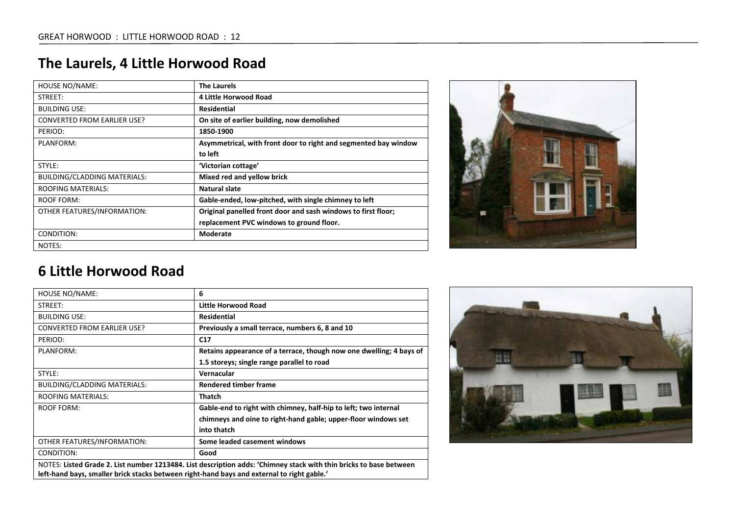| <b>HOUSE NO/NAME:</b>               | <b>The Laurels</b>                                              |
|-------------------------------------|-----------------------------------------------------------------|
| STREET:                             | <b>4 Little Horwood Road</b>                                    |
| <b>BUILDING USE:</b>                | <b>Residential</b>                                              |
| <b>CONVERTED FROM EARLIER USE?</b>  | On site of earlier building, now demolished                     |
| PERIOD:                             | 1850-1900                                                       |
| PLANFORM:                           | Asymmetrical, with front door to right and segmented bay window |
|                                     | to left                                                         |
| STYLE:                              | 'Victorian cottage'                                             |
| <b>BUILDING/CLADDING MATERIALS:</b> | Mixed red and yellow brick                                      |
| <b>ROOFING MATERIALS:</b>           | Natural slate                                                   |
| ROOF FORM:                          | Gable-ended, low-pitched, with single chimney to left           |
| OTHER FEATURES/INFORMATION:         | Original panelled front door and sash windows to first floor;   |
|                                     | replacement PVC windows to ground floor.                        |
| CONDITION:                          | Moderate                                                        |
| NOTES:                              |                                                                 |



| HOUSE NO/NAME:                                                                                                     | 6                                                                   |
|--------------------------------------------------------------------------------------------------------------------|---------------------------------------------------------------------|
| STREET:                                                                                                            | Little Horwood Road                                                 |
| <b>BUILDING USE:</b>                                                                                               | Residential                                                         |
| <b>CONVERTED FROM EARLIER USE?</b>                                                                                 | Previously a small terrace, numbers 6, 8 and 10                     |
| PERIOD:                                                                                                            | C17                                                                 |
| PLANFORM:                                                                                                          | Retains appearance of a terrace, though now one dwelling; 4 bays of |
|                                                                                                                    | 1.5 storeys; single range parallel to road                          |
| STYLE:                                                                                                             | Vernacular                                                          |
| <b>BUILDING/CLADDING MATERIALS:</b>                                                                                | <b>Rendered timber frame</b>                                        |
| <b>ROOFING MATERIALS:</b>                                                                                          | <b>Thatch</b>                                                       |
| ROOF FORM:                                                                                                         | Gable-end to right with chimney, half-hip to left; two internal     |
|                                                                                                                    | chimneys and oine to right-hand gable; upper-floor windows set      |
|                                                                                                                    | into thatch                                                         |
| OTHER FEATURES/INFORMATION:                                                                                        | Some leaded casement windows                                        |
| CONDITION:                                                                                                         | Good                                                                |
| NOTES: Listed Grade 2. List number 1213484. List description adds: 'Chimney stack with thin bricks to base between |                                                                     |
| left-hand bays, smaller brick stacks between right-hand bays and external to right gable.'                         |                                                                     |

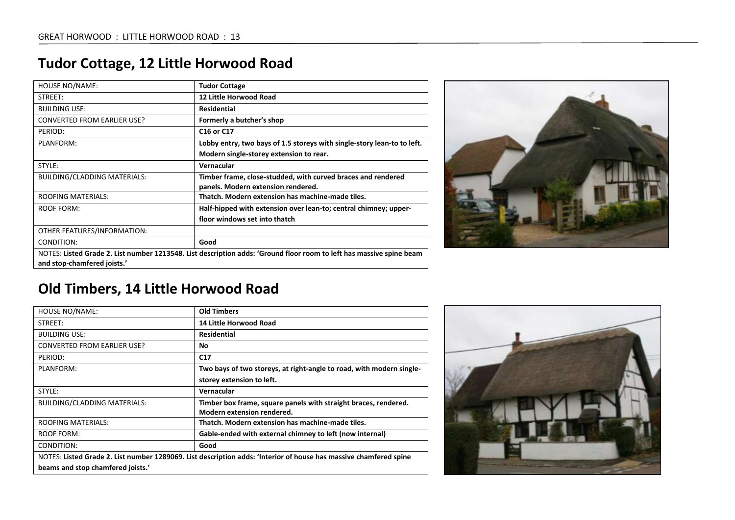| <b>HOUSE NO/NAME:</b>              | <b>Tudor Cottage</b>                                                                                                 |
|------------------------------------|----------------------------------------------------------------------------------------------------------------------|
| STREET:                            | 12 Little Horwood Road                                                                                               |
| <b>BUILDING USE:</b>               | <b>Residential</b>                                                                                                   |
| <b>CONVERTED FROM EARLIER USE?</b> | Formerly a butcher's shop                                                                                            |
| PERIOD:                            | C <sub>16</sub> or C <sub>17</sub>                                                                                   |
| PLANFORM:                          | Lobby entry, two bays of 1.5 storeys with single-story lean-to to left.                                              |
|                                    | Modern single-storey extension to rear.                                                                              |
| STYLE:                             | Vernacular                                                                                                           |
| BUILDING/CLADDING MATERIALS:       | Timber frame, close-studded, with curved braces and rendered<br>panels. Modern extension rendered.                   |
| <b>ROOFING MATERIALS:</b>          | Thatch. Modern extension has machine-made tiles.                                                                     |
| ROOF FORM:                         | Half-hipped with extension over lean-to; central chimney; upper-                                                     |
|                                    | floor windows set into thatch                                                                                        |
| OTHER FEATURES/INFORMATION:        |                                                                                                                      |
| CONDITION:                         | Good                                                                                                                 |
| and stop-chamfered joists.'        | NOTES: Listed Grade 2. List number 1213548. List description adds: 'Ground floor room to left has massive spine beam |

## **Tudor Cottage, 12 Little Horwood Road**



## **Old Timbers, 14 Little Horwood Road**

| <b>HOUSE NO/NAME:</b>                                                                                             | <b>Old Timbers</b>                                                   |
|-------------------------------------------------------------------------------------------------------------------|----------------------------------------------------------------------|
| STREET:                                                                                                           | 14 Little Horwood Road                                               |
| <b>BUILDING USE:</b>                                                                                              | <b>Residential</b>                                                   |
| <b>CONVERTED FROM EARLIER USE?</b>                                                                                | No                                                                   |
| PERIOD:                                                                                                           | C17                                                                  |
| PLANFORM:                                                                                                         | Two bays of two storeys, at right-angle to road, with modern single- |
|                                                                                                                   | storey extension to left.                                            |
| STYLE:                                                                                                            | Vernacular                                                           |
| BUILDING/CLADDING MATERIALS:                                                                                      | Timber box frame, square panels with straight braces, rendered.      |
|                                                                                                                   | Modern extension rendered.                                           |
| <b>ROOFING MATERIALS:</b>                                                                                         | Thatch. Modern extension has machine-made tiles.                     |
| ROOF FORM:                                                                                                        | Gable-ended with external chimney to left (now internal)             |
| CONDITION:                                                                                                        | Good                                                                 |
| NOTES: Listed Grade 2. List number 1289069. List description adds: 'Interior of house has massive chamfered spine |                                                                      |
| beams and stop chamfered joists.'                                                                                 |                                                                      |

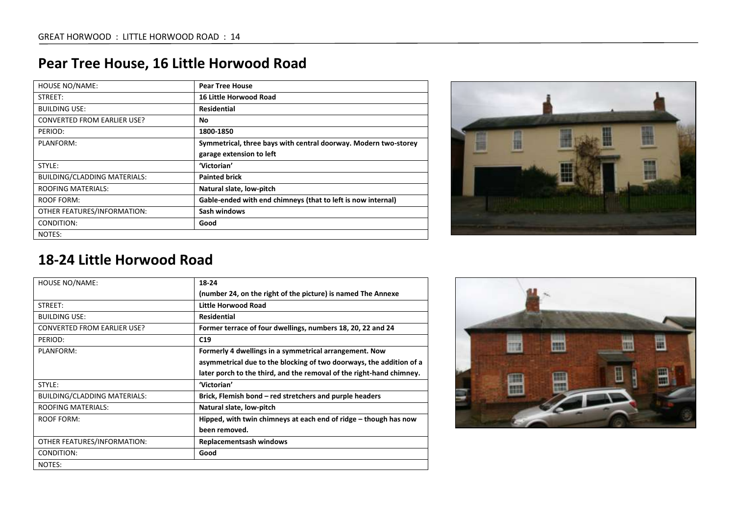| <b>HOUSE NO/NAME:</b>               | <b>Pear Tree House</b>                                          |
|-------------------------------------|-----------------------------------------------------------------|
| STREET:                             | <b>16 Little Horwood Road</b>                                   |
| <b>BUILDING USE:</b>                | <b>Residential</b>                                              |
| <b>CONVERTED FROM EARLIER USE?</b>  | No                                                              |
| PERIOD:                             | 1800-1850                                                       |
| PLANFORM:                           | Symmetrical, three bays with central doorway. Modern two-storey |
|                                     | garage extension to left                                        |
| STYLE:                              | 'Victorian'                                                     |
| <b>BUILDING/CLADDING MATERIALS:</b> | <b>Painted brick</b>                                            |
| <b>ROOFING MATERIALS:</b>           | Natural slate, low-pitch                                        |
| ROOF FORM:                          | Gable-ended with end chimneys (that to left is now internal)    |
| OTHER FEATURES/INFORMATION:         | Sash windows                                                    |
| CONDITION:                          | Good                                                            |
| NOTES:                              |                                                                 |

## **Pear Tree House, 16 Little Horwood Road**



| <b>HOUSE NO/NAME:</b>               | 18-24                                                                |
|-------------------------------------|----------------------------------------------------------------------|
|                                     | (number 24, on the right of the picture) is named The Annexe         |
| STREET:                             | <b>Little Horwood Road</b>                                           |
| <b>BUILDING USE:</b>                | <b>Residential</b>                                                   |
| <b>CONVERTED FROM EARLIER USE?</b>  | Former terrace of four dwellings, numbers 18, 20, 22 and 24          |
| PERIOD:                             | C19                                                                  |
| PLANFORM:                           | Formerly 4 dwellings in a symmetrical arrangement. Now               |
|                                     | asymmetrical due to the blocking of two doorways, the addition of a  |
|                                     | later porch to the third, and the removal of the right-hand chimney. |
| STYLE:                              | 'Victorian'                                                          |
| <b>BUILDING/CLADDING MATERIALS:</b> | Brick, Flemish bond – red stretchers and purple headers              |
| <b>ROOFING MATERIALS:</b>           | Natural slate, low-pitch                                             |
| ROOF FORM:                          | Hipped, with twin chimneys at each end of ridge $-$ though has now   |
|                                     | been removed.                                                        |
| OTHER FEATURES/INFORMATION:         | <b>Replacementsash windows</b>                                       |
| CONDITION:                          | Good                                                                 |
| NOTES:                              |                                                                      |

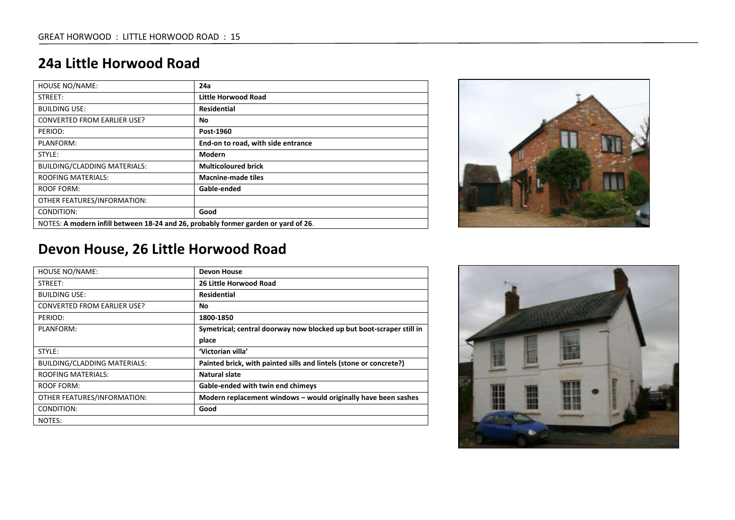| <b>HOUSE NO/NAME:</b>                                                              | 24a                                |
|------------------------------------------------------------------------------------|------------------------------------|
| STREET:                                                                            | Little Horwood Road                |
| <b>BUILDING USE:</b>                                                               | Residential                        |
| <b>CONVERTED FROM EARLIER USE?</b>                                                 | No                                 |
| PERIOD:                                                                            | Post-1960                          |
| PLANFORM:                                                                          | End-on to road, with side entrance |
| STYLE:                                                                             | Modern                             |
| <b>BUILDING/CLADDING MATERIALS:</b>                                                | <b>Multicoloured brick</b>         |
| <b>ROOFING MATERIALS:</b>                                                          | <b>Macnine-made tiles</b>          |
| ROOF FORM:                                                                         | Gable-ended                        |
| OTHER FEATURES/INFORMATION:                                                        |                                    |
| CONDITION:                                                                         | Good                               |
| NOTES: A modern infill between 18-24 and 26, probably former garden or yard of 26. |                                    |



## **Devon House, 26 Little Horwood Road**

| <b>HOUSE NO/NAME:</b>               | <b>Devon House</b>                                                   |
|-------------------------------------|----------------------------------------------------------------------|
| STREET:                             | 26 Little Horwood Road                                               |
| <b>BUILDING USE:</b>                | Residential                                                          |
| <b>CONVERTED FROM EARLIER USE?</b>  | No                                                                   |
| PERIOD:                             | 1800-1850                                                            |
| PLANFORM:                           | Symetrical; central doorway now blocked up but boot-scraper still in |
|                                     | place                                                                |
| STYLE:                              | 'Victorian villa'                                                    |
| <b>BUILDING/CLADDING MATERIALS:</b> | Painted brick, with painted sills and lintels (stone or concrete?)   |
| <b>ROOFING MATERIALS:</b>           | <b>Natural slate</b>                                                 |
| ROOF FORM:                          | Gable-ended with twin end chimeys                                    |
| OTHER FEATURES/INFORMATION:         | Modern replacement windows - would originally have been sashes       |
| CONDITION:                          | Good                                                                 |
| NOTES:                              |                                                                      |

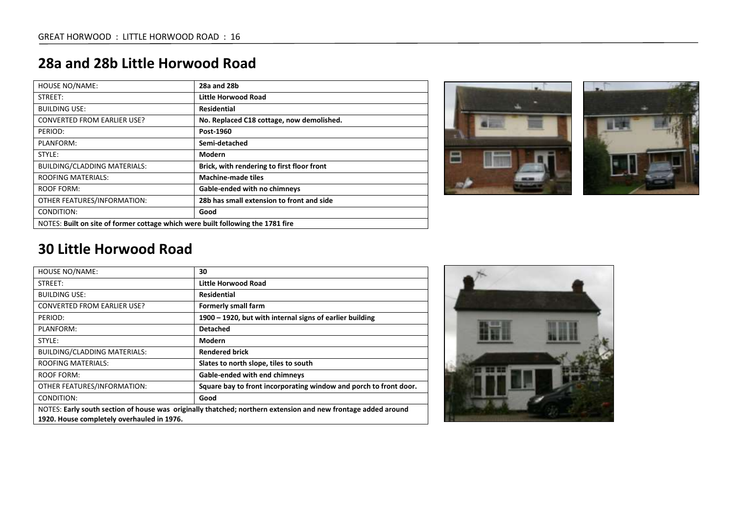| Little Horwood Road<br>Residential<br>No. Replaced C18 cottage, now demolished.<br>Post-1960<br>Semi-detached |
|---------------------------------------------------------------------------------------------------------------|
|                                                                                                               |
|                                                                                                               |
|                                                                                                               |
|                                                                                                               |
|                                                                                                               |
| Modern                                                                                                        |
| Brick, with rendering to first floor front                                                                    |
| <b>Machine-made tiles</b>                                                                                     |
| <b>Gable-ended with no chimneys</b>                                                                           |
| 28b has small extension to front and side                                                                     |
| Good                                                                                                          |
| NOTES: Built on site of former cottage which were built following the 1781 fire                               |

## **28a and 28b Little Horwood Road**



| <b>HOUSE NO/NAME:</b>                                                                                         | 30                                                                |
|---------------------------------------------------------------------------------------------------------------|-------------------------------------------------------------------|
| STREET:                                                                                                       | Little Horwood Road                                               |
| <b>BUILDING USE:</b>                                                                                          | <b>Residential</b>                                                |
| <b>CONVERTED FROM EARLIER USE?</b>                                                                            | Formerly small farm                                               |
| PERIOD:                                                                                                       | 1900 – 1920, but with internal signs of earlier building          |
| PLANFORM:                                                                                                     | <b>Detached</b>                                                   |
| STYLE:                                                                                                        | Modern                                                            |
| <b>BUILDING/CLADDING MATERIALS:</b>                                                                           | <b>Rendered brick</b>                                             |
| <b>ROOFING MATERIALS:</b>                                                                                     | Slates to north slope, tiles to south                             |
| <b>ROOF FORM:</b>                                                                                             | <b>Gable-ended with end chimneys</b>                              |
| OTHER FEATURES/INFORMATION:                                                                                   | Square bay to front incorporating window and porch to front door. |
| CONDITION:                                                                                                    | Good                                                              |
| NOTES: Early south section of house was originally thatched; northern extension and new frontage added around |                                                                   |
| 1920. House completely overhauled in 1976.                                                                    |                                                                   |